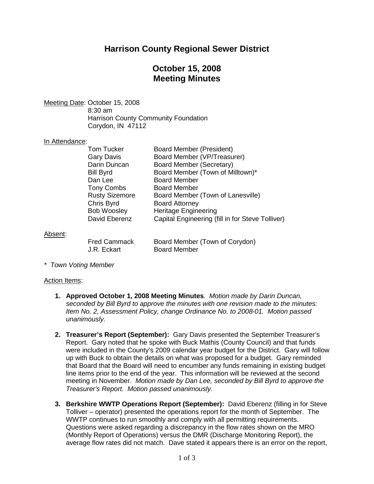## **Harrison County Regional Sewer District**

## **October 15, 2008 Meeting Minutes**

Meeting Date: October 15, 2008

8:30 am Harrison County Community Foundation Corydon, IN 47112

#### In Attendance:

| Tom Tucker            | <b>Board Member (President)</b>                  |
|-----------------------|--------------------------------------------------|
| Gary Davis            | Board Member (VP/Treasurer)                      |
| Darin Duncan          | Board Member (Secretary)                         |
| Bill Byrd             | Board Member (Town of Milltown)*                 |
| Dan Lee               | <b>Board Member</b>                              |
| Tony Combs            | <b>Board Member</b>                              |
| <b>Rusty Sizemore</b> | Board Member (Town of Lanesville)                |
| Chris Byrd            | <b>Board Attorney</b>                            |
| <b>Bob Woosley</b>    | <b>Heritage Engineering</b>                      |
| David Eberenz         | Capital Engineering (fill in for Steve Tolliver) |
|                       |                                                  |
|                       |                                                  |

#### Absent:

| <b>Fred Cammack</b> | Board        |
|---------------------|--------------|
| J.R. Eckart         | <b>Board</b> |

Member (Town of Corydon) Member

*\* Town Voting Member*

#### Action Items:

- **1. Approved October 1, 2008 Meeting Minutes**. *Motion made by Darin Duncan, seconded by Bill Byrd to approve the minutes with one revision made to the minutes: Item No. 2, Assessment Policy, change Ordinance No. to 2008-01. Motion passed unanimously.*
- **2. Treasurer's Report (September):** Gary Davis presented the September Treasurer's Report. Gary noted that he spoke with Buck Mathis (County Council) and that funds were included in the County's 2009 calendar year budget for the District. Gary will follow up with Buck to obtain the details on what was proposed for a budget. Gary reminded that Board that the Board will need to encumber any funds remaining in existing budget line items prior to the end of the year. This information will be reviewed at the second meeting in November. *Motion made by Dan Lee, seconded by Bill Byrd to approve the Treasurer's Report. Motion passed unanimously.*
- **3. Berkshire WWTP Operations Report (September):** David Eberenz (filling in for Steve Tolliver – operator) presented the operations report for the month of September. The WWTP continues to run smoothly and comply with all permitting requirements. Questions were asked regarding a discrepancy in the flow rates shown on the MRO (Monthly Report of Operations) versus the DMR (Discharge Monitoring Report), the average flow rates did not match. Dave stated it appears there is an error on the report,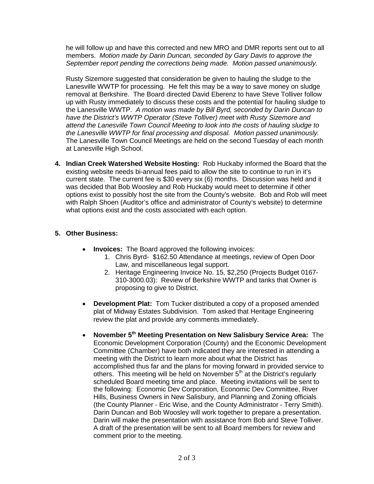he will follow up and have this corrected and new MRO and DMR reports sent out to all members. *Motion made by Darin Duncan, seconded by Gary Davis to approve the September report pending the corrections being made. Motion passed unanimously.*

Rusty Sizemore suggested that consideration be given to hauling the sludge to the Lanesville WWTP for processing. He felt this may be a way to save money on sludge removal at Berkshire. The Board directed David Eberenz to have Steve Tolliver follow up with Rusty immediately to discuss these costs and the potential for hauling sludge to the Lanesville WWTP. *A motion was made by Bill Byrd, seconded by Darin Duncan to have the District's WWTP Operator (Steve Tolliver) meet with Rusty Sizemore and attend the Lanesville Town Council Meeting to look into the costs of hauling sludge to the Lanesville WWTP for final processing and disposal. Motion passed unanimously*. The Lanesville Town Council Meetings are held on the second Tuesday of each month at Lanesville High School.

**4. Indian Creek Watershed Website Hosting:** Rob Huckaby informed the Board that the existing website needs bi-annual fees paid to allow the site to continue to run in it's current state. The current fee is \$30 every six (6) months. Discussion was held and it was decided that Bob Woosley and Rob Huckaby would meet to determine if other options exist to possibly host the site from the County's website. Bob and Rob will meet with Ralph Shoen (Auditor's office and administrator of County's website) to determine what options exist and the costs associated with each option.

### **5. Other Business:**

- **Invoices:** The Board approved the following invoices:
	- 1. Chris Byrd- \$162.50 Attendance at meetings, review of Open Door Law, and miscellaneous legal support.
	- 2. Heritage Engineering Invoice No. 15, \$2,250 (Projects Budget 0167- 310-3000.03): Review of Berkshire WWTP and tanks that Owner is proposing to give to District.
- **Development Plat:** Tom Tucker distributed a copy of a proposed amended plat of Midway Estates Subdivision. Tom asked that Heritage Engineering review the plat and provide any comments immediately.
- **November 5th Meeting Presentation on New Salisbury Service Area:** The Economic Development Corporation (County) and the Economic Development Committee (Chamber) have both indicated they are interested in attending a meeting with the District to learn more about what the District has accomplished thus far and the plans for moving forward in provided service to others. This meeting will be held on November  $5<sup>th</sup>$  at the District's regularly scheduled Board meeting time and place. Meeting invitations will be sent to the following: Economic Dev Corporation, Economic Dev Committee, River Hills, Business Owners in New Salisbury, and Planning and Zoning officials (the County Planner - Eric Wise, and the County Administrator - Terry Smith). Darin Duncan and Bob Woosley will work together to prepare a presentation. Darin will make the presentation with assistance from Bob and Steve Tolliver. A draft of the presentation will be sent to all Board members for review and comment prior to the meeting.